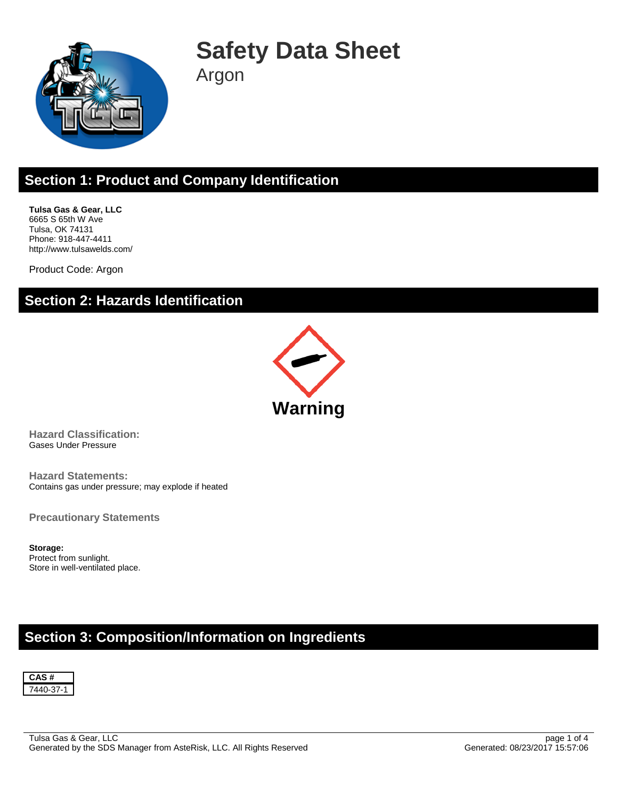

# **Safety Data Sheet**

Argon

## **Section 1: Product and Company Identification**

**Tulsa Gas & Gear, LLC** 6665 S 65th W Ave Tulsa, OK 74131 Phone: 918-447-4411 http://www.tulsawelds.com/

Product Code: Argon

#### **Section 2: Hazards Identification**



**Hazard Classification:** Gases Under Pressure

**Hazard Statements:** Contains gas under pressure; may explode if heated

**Precautionary Statements**

**Storage:** Protect from sunlight. Store in well-ventilated place.

### **Section 3: Composition/Information on Ingredients**

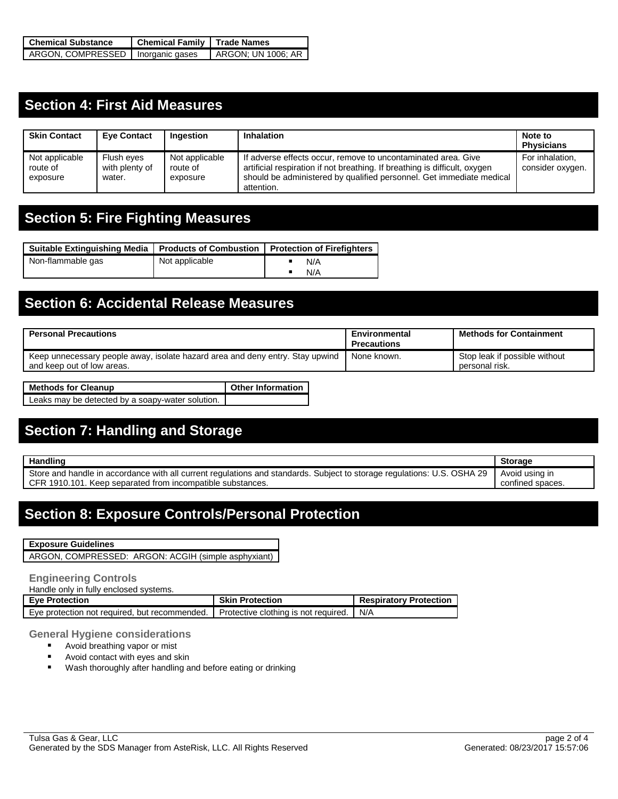| <b>Chemical Substance</b>           | Chemical Family   Trade Names |                    |  |
|-------------------------------------|-------------------------------|--------------------|--|
| ARGON, COMPRESSED   Inorganic gases |                               | ARGON: UN 1006: AR |  |

### **Section 4: First Aid Measures**

| <b>Skin Contact</b>                    | <b>Eve Contact</b>                     | Ingestion                              | <b>Inhalation</b>                                                                                                                                                                                                                 | Note to<br><b>Physicians</b>        |
|----------------------------------------|----------------------------------------|----------------------------------------|-----------------------------------------------------------------------------------------------------------------------------------------------------------------------------------------------------------------------------------|-------------------------------------|
| Not applicable<br>route of<br>exposure | Flush eyes<br>with plenty of<br>water. | Not applicable<br>route of<br>exposure | If adverse effects occur, remove to uncontaminated area. Give<br>artificial respiration if not breathing. If breathing is difficult, oxygen<br>should be administered by qualified personnel. Get immediate medical<br>attention. | For inhalation.<br>consider oxygen. |

## **Section 5: Fire Fighting Measures**

| Suitable Extinguishing Media   Products of Combustion   Protection of Firefighters |                |     |
|------------------------------------------------------------------------------------|----------------|-----|
| Non-flammable gas                                                                  | Not applicable | N/A |
|                                                                                    |                | N/A |

### **Section 6: Accidental Release Measures**

| <b>Personal Precautions</b>                                                                                 | Environmental<br><b>Precautions</b> | <b>Methods for Containment</b>                  |
|-------------------------------------------------------------------------------------------------------------|-------------------------------------|-------------------------------------------------|
| Keep unnecessary people away, isolate hazard area and deny entry. Stay upwind<br>and keep out of low areas. | None known.                         | Stop leak if possible without<br>personal risk. |

| Methods for Cleanup                              | <b>Other Information</b> |
|--------------------------------------------------|--------------------------|
| Leaks may be detected by a soapy-water solution. |                          |

## **Section 7: Handling and Storage**

| <b>Handling</b>                                                                                                                                                                       | <b>Storage</b>                     |
|---------------------------------------------------------------------------------------------------------------------------------------------------------------------------------------|------------------------------------|
| Store and handle in accordance with all current regulations and standards. Subject to storage regulations: U.S. OSHA 29<br>CFR 1910.101. Keep separated from incompatible substances. | Avoid using in<br>confined spaces. |
|                                                                                                                                                                                       |                                    |

### **Section 8: Exposure Controls/Personal Protection**

|  | <b>Exposure Guidelines</b> |
|--|----------------------------|
|--|----------------------------|

ARGON, COMPRESSED: ARGON: ACGIH (simple asphyxiant)

#### **Engineering Controls**

Handle only in fully enclosed systems.

| <b>Eve Protection</b>                         | <b>Skin Protection</b>               | <b>Respiratory Protection</b> |
|-----------------------------------------------|--------------------------------------|-------------------------------|
| Eve protection not required, but recommended. | Protective clothing is not required. | N/A                           |

**General Hygiene considerations**<br>**Avoid breathing vapor or mist** 

- Avoid breathing vapor or mist
- **Avoid contact with eyes and skin**
- **Wash thoroughly after handling and before eating or drinking**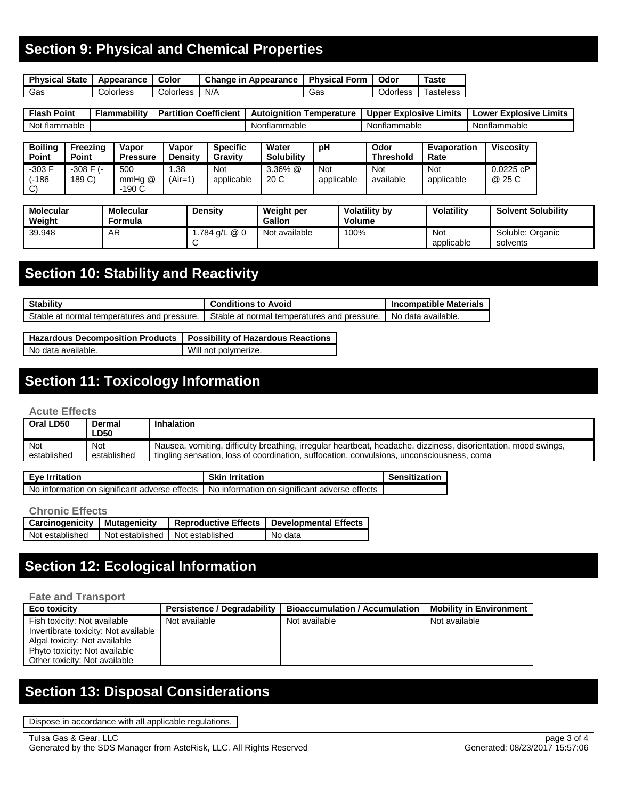## **Section 9: Physical and Chemical Properties**

| <b>Physical State</b> | Appearance | Color     | Change in Appearance   Physical Form / |     | Odor     | ™aste                 |
|-----------------------|------------|-----------|----------------------------------------|-----|----------|-----------------------|
| Gas                   | Colorless  | Colorless | N/A                                    | Gas | Odorless | <sup>-</sup> asteless |

| <b>Flash</b><br>Point | .<br><b>Flammability</b> | <b>Coefficient</b><br><b>Partition</b> | Autoianitior<br>⊺emperature | Limits<br>Explosive<br><b>Upper</b> | Limits<br><b>Explosive</b><br>_ower |
|-----------------------|--------------------------|----------------------------------------|-----------------------------|-------------------------------------|-------------------------------------|
| Not.<br>: flammable   |                          |                                        | Nonflammable                | Nonflammable                        | Nonflammable                        |

| <b>Boiling</b><br><b>Point</b>     | Freezina<br>Point        | Vapor<br><b>Pressure</b> | Vapor<br><b>Density</b> | <b>Specific</b><br><b>Gravity</b> | Water<br><b>Solubility</b> | pH                       | Odor<br><b>Threshold</b> | Evaporation<br>Rate | <b>Viscositv</b>   |
|------------------------------------|--------------------------|--------------------------|-------------------------|-----------------------------------|----------------------------|--------------------------|--------------------------|---------------------|--------------------|
| $-303 F$<br>(-186<br>$\mathcal{C}$ | $-308$ F $(-)$<br>189 C) | 500<br>mmHa @<br>-190 C  | .38<br>(Air=1)          | Not<br>applicable                 | $3.36\%$ @<br>20 C         | <b>Not</b><br>applicable | Not<br>available         | Not<br>applicable   | 0.0225cP<br>@ 25 C |

| <b>Molecular</b><br>Weight | <b>Molecular</b><br>Formula | Density      | Weight per<br><b>Gallon</b> | <b>Volatility by</b><br><b>Volume</b> | Volatility        | <b>Solvent Solubility</b>    |
|----------------------------|-----------------------------|--------------|-----------------------------|---------------------------------------|-------------------|------------------------------|
| 39.948                     | AR                          | .784 g/L @ 0 | Not available               | 100%                                  | Not<br>applicable | Soluble: Organic<br>solvents |

## **Section 10: Stability and Reactivity**

| <b>Stability</b>                            | <b>Conditions to Avoid</b>                  | <b>Incompatible Materials</b> |
|---------------------------------------------|---------------------------------------------|-------------------------------|
| Stable at normal temperatures and pressure. | Stable at normal temperatures and pressure. | No data available.            |

| Hazardous Decomposition Products   Possibility of Hazardous Reactions |                      |
|-----------------------------------------------------------------------|----------------------|
| No data available.                                                    | Will not polymerize. |

## **Section 11: Toxicology Information**

#### **Acute Effects**

| Oral LD50   | Dermal<br>∟D50 | Inhalation                                                                                                     |
|-------------|----------------|----------------------------------------------------------------------------------------------------------------|
| Not         | <b>Not</b>     | Nausea, vomiting, difficulty breathing, irregular heartbeat, headache, dizziness, disorientation, mood swings, |
| established | established    | tingling sensation, loss of coordination, suffocation, convulsions, unconsciousness, coma                      |

| Eye Irritation                                                                                | <b>Skin Irritation</b> | Sensitization |
|-----------------------------------------------------------------------------------------------|------------------------|---------------|
| No information on significant adverse effects   No information on significant adverse effects |                        |               |

#### **Chronic Effects**

| <b>Carcinogenicity   Mutagenicity</b> |                                 | Reproductive Effects   Developmental Effects |
|---------------------------------------|---------------------------------|----------------------------------------------|
| Not established                       | Not established Not established | No data                                      |

## **Section 12: Ecological Information**

#### **Fate and Transport**

| <b>Eco toxicity</b>                  | <b>Persistence / Degradability</b> | <b>Bioaccumulation / Accumulation</b> | <b>Mobility in Environment</b> |
|--------------------------------------|------------------------------------|---------------------------------------|--------------------------------|
| Fish toxicity: Not available         | Not available                      | Not available                         | Not available                  |
| Invertibrate toxicity: Not available |                                    |                                       |                                |
| Algal toxicity: Not available        |                                    |                                       |                                |
| Phyto toxicity: Not available        |                                    |                                       |                                |
| Other toxicity: Not available        |                                    |                                       |                                |

## **Section 13: Disposal Considerations**

Dispose in accordance with all applicable regulations.